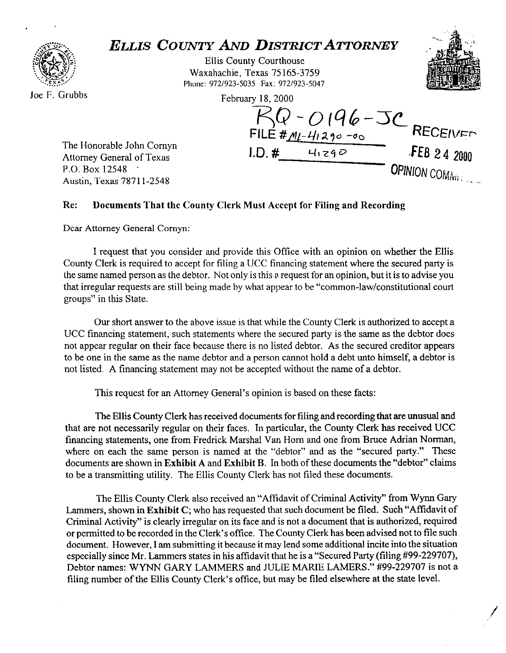

## *ELLIS COUNTY AND DISTRICT ATTORNEY*

Ellis County Courthouse Waxahachie, Texas 75 165-3759 **Phone: 972/923-5035 Fax: 972/923-5047** 

Februarv 18.2000

FILE #,4&4/29~ -00 **RECEIVF~** 

**I.D. #**  $4129$ <sup>O</sup> **J-E8** 24 2000



**OPINION COMING & COMING** 

The Honorable John Cornyn Attorney General of Texas P.O. Box 12548 Austin, Texas 7871 l-2548

## **Re: Documents That the County Clerk Must Accept for Filing and Recording**

Dear Attorney General Comyn:

I request that you consider and provide this Office with an opinion on whether the Ellis County Clerk is required to accept for filing a UCC financing statement where the secured party is the same named person as the debtor. Not only is this a request for an opinion, but it is to advise you that irregular requests are still being made by what appear to be "common-law/constitutional court groups" in this State.

Our short answer to the above issue is that while the County Clerk is authorized to accept a UCC financing statement, such statements where the secured party is the same as the debtor does not appear regular on their face because there is no listed debtor. As the secured creditor appears to be one in the same as the name debtor and a person cannot hold a debt unto himself, a debtor is not listed. A financing statement may not be accepted without the name of a debtor.

This request for an Attorney General's opinion is based on these facts:

The Ellis County Clerk has received documents for filing and recording that are unusual and that are not necessarily regular on their faces. In particular, the County Clerk has received UCC financing statements, one from Fredrick Marshal Van Horn and one from Bruce Adrian Norman, where on each the same person is named at the "debtor" and as the "secured party." These documents **are** shown in **Exhibit A** and **Exhibit B.** In both of these documents the "debtor" claims to be a transmitting utility. The Ellis County Clerk has not filed these documents.

The Ellis County Clerk also received an "Affidavit of Criminal Activity" from Wynn Gary Lammers, shown in **Exhibit** C; who has requested that such document be filed. Such "Affidavit of Criminal Activity" is clearly irregular on its face and is not a document that is authorized, required or permitted to be recorded in the Clerk's office. The County Clerk has been advised not to file such document. However, I am submitting it because it may lend some additional incite into the situation especially since Mr. Lammers states in his affidavit that he is a "Secured Party (filing #99-229707), Debtor names: WYNN GARY LAMMERS and JULIE MARIE LAMERS." #99-229707 is not a filing number of the Ellis County Clerk's office, but may be filed elsewhere at the state level.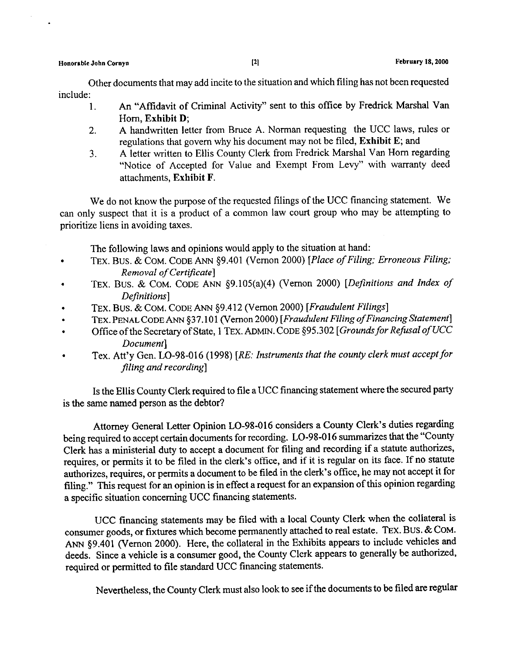Other documents that may add incite to the situation and which filing has not been requested include:

- 1. An "Affidavit of Criminal Activity" sent to this office by Fredrick Marshal Van Horn, **Exhibit D;**
- 2. A handwritten letter from Bruce A. Norman requesting the UCC laws, rules or regulations that govern why his document may not be filed, **Exhibit E;** and
- 3. A letter written to Ellis County Clerk from Fredrick Marshal Van Horn regarding "Notice of Accepted for Value and Exempt From Levy" with warranty deed attachments, **Exhibit F.**

We do not know the purpose of the requested filings of the UCC financing statement. We can only suspect that it is a product of a common law court group who may be attempting to prioritize liens in avoiding taxes.

The following laws and opinions would apply to the situation at hand:

- . TEX. BUS. & COM. CODE ANN \$9.401 (Vernon 2000) [Place *ofFiling; Erroneous Filing; Removal of Certificate]*
- TEX. BUS. & COM. CODE ANN §9.105(a)(4) (Vernon 2000) *[Definitions and Index of Definitions]*
- *.* TEX. Bus. *&* COM. CODE ANN 99.412 (Vernon *2000) [Fraudulent Filings]*
- *.* TEX.PENALCODE ANN \$37.101 (Vemon2000) *[Fraudulent FilingofFinancingStatement]*
- *.* Office ofthe Secretary of State, 1 TEX. ADMIN. CODE *\$95.302 [Groundsfor Refusal of UCC Document]*
- *.* Tex. Att'y Gen. LO-98-016 (1998) *[RE: Instruments that the county clerk must acceptfir filing and recording]*

Is the Ellis County Clerk required to file a UCC financing statement where the secured party is the same named person as the debtor?

Attorney General Letter Opinion LO-98-016 considers a County Clerk's duties regarding being required to accept certain documents for recording. LO-98-016 summarizes that the **"County**  Clerk has a ministerial duty to accept a document for filing and recording if a statute authorizes, requires, or permits it to be filed in the clerk's office, and if it is regular on its face. If no statute authorizes, requires, or permits a document to be filed in the clerk's office, he may not accept it for filing." This request for an opinion is in effect a request for an expansion of this opinion regarding a specific situation concerning UCC financing statements.

UCC financing statements may be filed with a local County Clerk when the collateral is consumer goods, or fixtures which become permanently attached to real estate. 'fEX. BUS. & COM. ANN \$9.401 (Vernon 2000). Here, the collateral in the Exhibits appears to include vehicles and deeds. Since a vehicle is a consumer good, the County Clerk appears to generally be authorized, required or permitted to file standard UCC financing statements.

Nevertheless, the County Clerk must also look to see if the documents to be filed are regular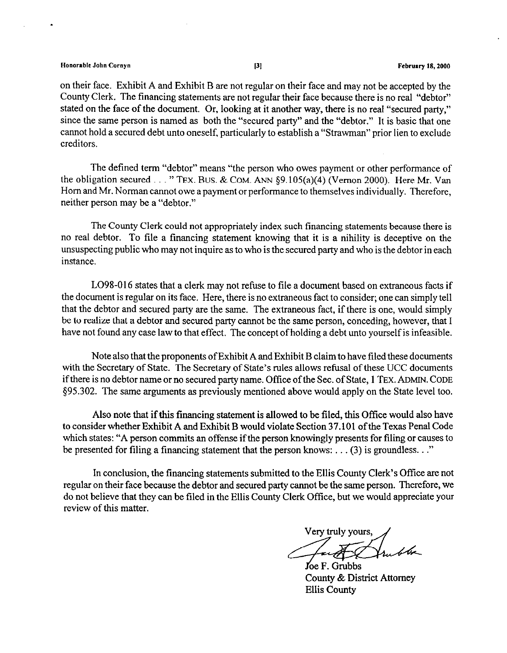## **Honorable John Cornyn Proposed by Community 18, 2000 Proposed by Proposed by Proposed by Proposed by Proposed by Proposed by Proposed by Proposed by Proposed by Proposed by Proposed by Proposed by Proposed by Proposed**

on their face. Exhibit A and Exhibit B are not regular on their face and may not be accepted by the County Clerk. The financing statements are not regular their face because there is no real "debtor" stated on the face of the document. Or, looking at it another way, there is no real "secured party," since the same person is named as both the "secured party" and the "debtor." It is basic that one cannot hold a secured debt unto oneself, particularly to establish a "Strawman" prior lien to exclude creditors.

The defined term "debtor" means "the person who owes payment or other performance of the obligation secured . . . " TEX. BUS. & COM. ANN §9.105(a)(4) (Vernon 2000). Here Mr. Van Horn and Mr. Norman cannot owe a payment or performance to themselves individually. Therefore, neither person may be a "debtor."

The County Clerk could not appropriately index such financing statements because there is no real debtor. To tile a financing statement knowing that it is a nihility is deceptive on the unsuspecting public who may not inquire as to who is the secured party and who is the debtor in each instance.

LO98-016 states that a clerk may not refuse to file a document based on extraneous facts if the document is regular on its face. Here, there is no extraneous fact to consider; one can simply tell that the debtor and secured party are the same. The extraneous fact, if there is one, would simply be to realize that a debtor and secured party cannot be the same person, conceding, however, that I have not found any case law to that effect, The concept of holding a debt unto yourself is infeasible.

Note also that the proponents of Exhibit A and Exhibit B claim to have filed these documents with the Secretary of State. The Secretary of State's rules allows refusal of these UCC documents if there is no debtor name or no secured party name. Office of the Sec. of State, 1 TEX. ADMIN. **CODE**  \$95.302. The same arguments as previously mentioned above would apply on the State level too.

Also note that if this financing statement is allowed to be filed, this Office would also have to consider whether Exhibit A and Exhibit B would violate Section 37.10 1 of the Texas Penal Code which states: "A person commits an offense if the person knowingly presents for filing or causes to be presented for filing a financing statement that the person knows: . . . (3) is groundless. . ."

In conclusion, the financing statements submitted to the Ellis County Clerk's Office are not regular on their face because the debtor and secured party cannot be the same person. Therefore, we do not believe that they can be filed in the Ellis County Clerk Offtce, but we would appreciate your review of this matter.

Very truly yours,

foe F. Grubbs County & District Attorney Ellis County